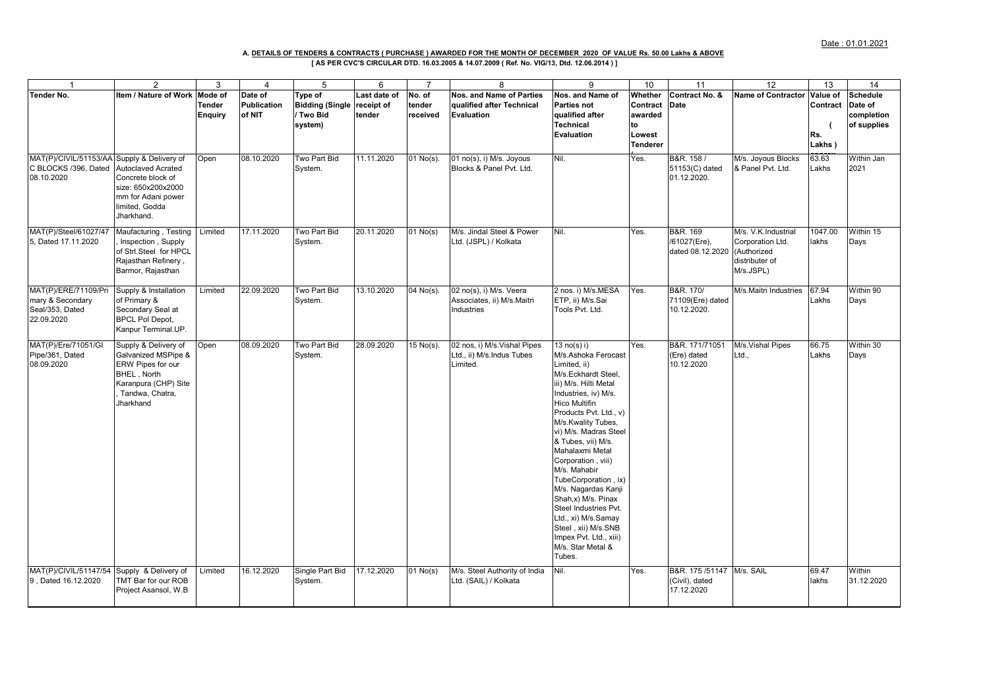## **[ AS PER CVC'S CIRCULAR DTD. 16.03.2005 & 14.07.2009 ( Ref. No. VIG/13, Dtd. 12.06.2014 ) ] A. DETAILS OF TENDERS & CONTRACTS ( PURCHASE ) AWARDED FOR THE MONTH OF DECEMBER 2020 OF VALUE Rs. 50.00 Lakhs & ABOVE**

| $\overline{1}$                                                                   | 2                                                                                                                                       | 3                                          | $\overline{4}$                   | 5                                                         | 6                                    | $\overline{7}$               | 8                                                                     | 9                                                                                                                                                                                                                                                                                                                                                                                                                                                                                                                | 10                                                                | 11                                             | 12                                                                                    | 13                                    | 14                                               |
|----------------------------------------------------------------------------------|-----------------------------------------------------------------------------------------------------------------------------------------|--------------------------------------------|----------------------------------|-----------------------------------------------------------|--------------------------------------|------------------------------|-----------------------------------------------------------------------|------------------------------------------------------------------------------------------------------------------------------------------------------------------------------------------------------------------------------------------------------------------------------------------------------------------------------------------------------------------------------------------------------------------------------------------------------------------------------------------------------------------|-------------------------------------------------------------------|------------------------------------------------|---------------------------------------------------------------------------------------|---------------------------------------|--------------------------------------------------|
| <b>Tender No.</b>                                                                | Item / Nature of Work                                                                                                                   | Mode of<br><b>Tender</b><br><b>Enquiry</b> | Date of<br>Publication<br>of NIT | Type of<br><b>Bidding (Single</b><br>/ Two Bid<br>system) | Last date of<br>receipt of<br>tender | No. of<br>tender<br>received | Nos. and Name of Parties<br>qualified after Technical<br>Evaluation   | Nos. and Name of<br>Parties not<br>qualified after<br><b>Technical</b><br>Evaluation                                                                                                                                                                                                                                                                                                                                                                                                                             | Whether<br>Contract<br>awarded<br>to<br>Lowest<br><b>Tenderer</b> | Contract No. &<br><b>Date</b>                  | <b>Name of Contractor</b>                                                             | Value of<br>Contract<br>Rs.<br>Lakhs) | Schedule<br>Date of<br>completion<br>of supplies |
| MAT(P)/CIVIL/51153/AA Supply & Delivery of<br>C BLOCKS /396, Dated<br>08.10.2020 | <b>Autoclaved Acrated</b><br>Concrete block of<br>size: 650x200x2000<br>mm for Adani power<br>limited, Godda<br>Jharkhand.              | Open                                       | 08.10.2020                       | Two Part Bid<br>System.                                   | 11.11.2020                           | 01 No(s).                    | 01 no(s), i) M/s. Joyous<br>Blocks & Panel Pvt. Ltd.                  | Nil.                                                                                                                                                                                                                                                                                                                                                                                                                                                                                                             | Yes.                                                              | B&R. 158 /<br>51153(C) dated<br>01.12.2020.    | M/s. Joyous Blocks<br>& Panel Pvt. Ltd.                                               | 63.63<br>Lakhs                        | Within Jan<br>2021                               |
| MAT(P)/Steel/61027/47<br>5, Dated 17.11.2020                                     | Maufacturing, Testing<br>Inspection, Supply<br>of Strl.Steel for HPCL<br>Rajasthan Refinery,<br>Barmor, Rajasthan                       | Limited                                    | 17.11.2020                       | Two Part Bid<br>System.                                   | 20.11.2020                           | $01$ No(s)                   | M/s. Jindal Steel & Power<br>Ltd. (JSPL) / Kolkata                    | Nil.                                                                                                                                                                                                                                                                                                                                                                                                                                                                                                             | Yes.                                                              | B&R. 169<br>/61027(Ere),<br>dated 08.12.2020   | M/s. V.K.Industrial<br>Corporation Ltd.<br>(Authorized<br>distributer of<br>M/s.JSPL) | 1047.00<br>lakhs                      | Within 15<br>Days                                |
| MAT(P)/ERE/71109/Pri<br>mary & Secondary<br>Seal/353, Dated<br>22.09.2020        | Supply & Installation<br>of Primary &<br>Secondary Seal at<br><b>BPCL Pol Depot,</b><br>Kanpur Terminal.UP.                             | Limited                                    | 22.09.2020                       | Two Part Bid<br>System.                                   | 13.10.2020                           | 04 No(s).                    | 02 no(s), i) M/s. Veera<br>Associates, ii) M/s.Maitri<br>Industries   | 2 nos. i) M/s.MESA<br>ETP, ii) M/s.Sai<br>Tools Pvt. Ltd.                                                                                                                                                                                                                                                                                                                                                                                                                                                        | Yes.                                                              | B&R. 170/<br>71109(Ere) dated<br>10.12.2020.   | M/s.Maitri Industries                                                                 | 67.94<br>Lakhs                        | Within 90<br>Days                                |
| MAT(P)/Ere/71051/GI<br>Pipe/361, Dated<br>08.09.2020                             | Supply & Delivery of<br>Galvanized MSPipe &<br>ERW Pipes for our<br>BHEL, North<br>Karanpura (CHP) Site<br>Tandwa, Chatra,<br>Jharkhand | Open                                       | 08.09.2020                       | Two Part Bid<br>System.                                   | 28.09.2020                           | 15 No(s).                    | 02 nos, i) M/s. Vishal Pipes<br>Ltd., ii) M/s.Indus Tubes<br>Limited. | 13 no(s) i)<br>M/s.Ashoka Ferocast<br>Limited, ii)<br>M/s.Eckhardt Steel,<br>iii) M/s. Hilti Metal<br>Industries, iv) M/s.<br><b>Hico Multifin</b><br>Products Pvt. Ltd., v)<br>M/s.Kwality Tubes,<br>vi) M/s. Madras Steel<br>& Tubes, vii) M/s.<br>Mahalaxmi Metal<br>Corporation, viii)<br>M/s. Mahabir<br>TubeCorporation, ix)<br>M/s. Nagardas Kanji<br>Shah, x) M/s. Pinax<br>Steel Industries Pvt.<br>Ltd., xi) M/s.Samay<br>Steel, xii) M/s.SNB<br>Impex Pvt. Ltd., xiii)<br>M/s. Star Metal &<br>Tubes. | Yes.                                                              | B&R. 171/71051<br>(Ere) dated<br>10.12.2020    | M/s.Vishal Pipes<br>Ltd.,                                                             | 66.75<br>Lakhs                        | Within 30<br>Days                                |
| MAT(P)/CIVIL/51147/54<br>9, Dated 16.12.2020                                     | Supply & Delivery of<br>TMT Bar for our ROB<br>Project Asansol, W.B                                                                     | Limited                                    | 16.12.2020                       | Single Part Bid<br>System.                                | 17.12.2020                           | $\overline{0}$ 1 No(s)       | M/s. Steel Authority of India<br>Ltd. (SAIL) / Kolkata                | Nil.                                                                                                                                                                                                                                                                                                                                                                                                                                                                                                             | Yes.                                                              | B&R. 175/51147<br>(Civil), dated<br>17.12.2020 | M/s. SAIL                                                                             | 69.47<br>lakhs                        | Within<br>31.12.2020                             |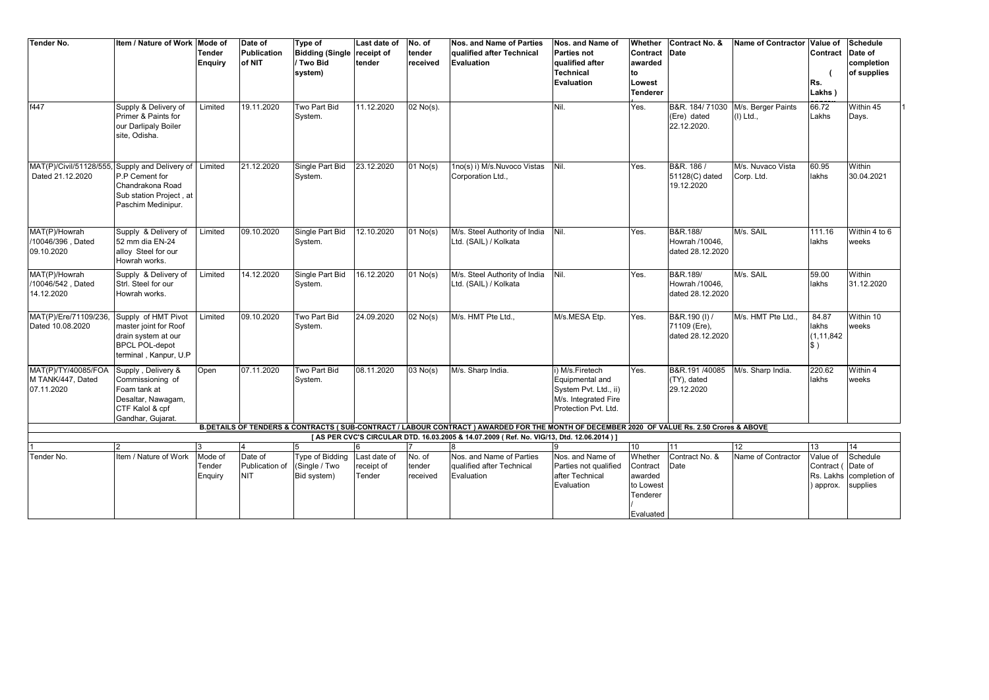| <b>Tender No.</b>                                                                                                                                                                                                                      | <b>Item / Nature of Work</b>           | Mode of        | Date of            | Type of                | Last date of | No. of      | Nos. and Name of Parties      | Nos. and Name of      | Whether         | Contract No. &                | Name of Contractor | Value of      | <b>Schedule</b>         |
|----------------------------------------------------------------------------------------------------------------------------------------------------------------------------------------------------------------------------------------|----------------------------------------|----------------|--------------------|------------------------|--------------|-------------|-------------------------------|-----------------------|-----------------|-------------------------------|--------------------|---------------|-------------------------|
|                                                                                                                                                                                                                                        |                                        | <b>Tender</b>  | <b>Publication</b> | <b>Bidding (Single</b> | receipt of   | tender      | qualified after Technical     | <b>Parties not</b>    | Contract        | Date                          |                    | Contract      | Date of                 |
|                                                                                                                                                                                                                                        |                                        | <b>Enquiry</b> | of NIT             | Two Bid                | tender       | received    | Evaluation                    | qualified after       | awarded         |                               |                    |               | completion              |
|                                                                                                                                                                                                                                        |                                        |                |                    | system)                |              |             |                               | Technical             | to              |                               |                    |               | of supplies             |
|                                                                                                                                                                                                                                        |                                        |                |                    |                        |              |             |                               | <b>Evaluation</b>     | Lowest          |                               |                    | Rs.           |                         |
|                                                                                                                                                                                                                                        |                                        |                |                    |                        |              |             |                               |                       | <b>Tenderer</b> |                               |                    | Lakhs)        |                         |
|                                                                                                                                                                                                                                        |                                        |                |                    |                        |              |             |                               |                       |                 |                               |                    |               |                         |
| f447                                                                                                                                                                                                                                   | Supply & Delivery of                   | Limited        | 19.11.2020         | Two Part Bid           | 11.12.2020   | $02$ No(s). |                               | Nil.                  | Yes.            | B&R. 184/71030                | M/s. Berger Paints | 66.72         | Within 45               |
|                                                                                                                                                                                                                                        | Primer & Paints for                    |                |                    | System.                |              |             |                               |                       |                 | (Ere) dated                   | (I) Ltd.,          | Lakhs         | Days.                   |
|                                                                                                                                                                                                                                        | our Darlipaly Boiler                   |                |                    |                        |              |             |                               |                       |                 | 22.12.2020.                   |                    |               |                         |
|                                                                                                                                                                                                                                        | site, Odisha.                          |                |                    |                        |              |             |                               |                       |                 |                               |                    |               |                         |
|                                                                                                                                                                                                                                        |                                        |                |                    |                        |              |             |                               |                       |                 |                               |                    |               |                         |
|                                                                                                                                                                                                                                        |                                        |                |                    |                        |              |             |                               |                       |                 |                               |                    |               |                         |
| MAT(P)/Civil/51128/555,                                                                                                                                                                                                                | Supply and Delivery of                 | Limited        | 21.12.2020         | Single Part Bid        | 23.12.2020   | 01 No(s)    | 1no(s) i) M/s.Nuvoco Vistas   | Nil.                  | Yes.            | B&R. 186 /                    | M/s. Nuvaco Vista  | 60.95         | Within                  |
| Dated 21.12.2020                                                                                                                                                                                                                       | P.P Cement for                         |                |                    | System.                |              |             | Corporation Ltd.,             |                       |                 | 51128(C) dated                | Corp. Ltd.         | lakhs         | 30.04.2021              |
|                                                                                                                                                                                                                                        | Chandrakona Road                       |                |                    |                        |              |             |                               |                       |                 | 19.12.2020                    |                    |               |                         |
|                                                                                                                                                                                                                                        | Sub station Project, at                |                |                    |                        |              |             |                               |                       |                 |                               |                    |               |                         |
|                                                                                                                                                                                                                                        | Paschim Medinipur.                     |                |                    |                        |              |             |                               |                       |                 |                               |                    |               |                         |
|                                                                                                                                                                                                                                        |                                        |                |                    |                        |              |             |                               |                       |                 |                               |                    |               |                         |
|                                                                                                                                                                                                                                        |                                        |                |                    |                        |              |             |                               |                       |                 |                               |                    |               |                         |
| MAT(P)/Howrah                                                                                                                                                                                                                          | Supply & Delivery of                   | Limited        | 09.10.2020         | Single Part Bid        | 12.10.2020   | 01 No(s)    | M/s. Steel Authority of India | Nil.                  | Yes.            | B&R.188/                      | M/s. SAIL          | 111.16        | Within 4 to 6           |
| /10046/396, Dated                                                                                                                                                                                                                      | 52 mm dia EN-24                        |                |                    | System.                |              |             | Ltd. (SAIL) / Kolkata         |                       |                 | Howrah /10046.                |                    | lakhs         | weeks                   |
| 09.10.2020                                                                                                                                                                                                                             | alloy Steel for our                    |                |                    |                        |              |             |                               |                       |                 | dated 28.12.2020              |                    |               |                         |
|                                                                                                                                                                                                                                        | Howrah works.                          |                |                    |                        |              |             |                               |                       |                 |                               |                    |               |                         |
| MAT(P)/Howrah                                                                                                                                                                                                                          | Supply & Delivery of                   | Limited        | 14.12.2020         | Single Part Bid        | 16.12.2020   | $01$ No(s)  | M/s. Steel Authority of India | Nil.                  | Yes.            | B&R.189/                      | M/s. SAIL          | 59.00         | Within                  |
| /10046/542, Dated                                                                                                                                                                                                                      | Strl. Steel for our                    |                |                    | System.                |              |             | Ltd. (SAIL) / Kolkata         |                       |                 | Howrah /10046.                |                    | lakhs         | 31.12.2020              |
| 14.12.2020                                                                                                                                                                                                                             | Howrah works.                          |                |                    |                        |              |             |                               |                       |                 | dated 28.12.2020              |                    |               |                         |
|                                                                                                                                                                                                                                        |                                        |                |                    |                        |              |             |                               |                       |                 |                               |                    |               |                         |
| MAT(P)/Ere/71109/236,                                                                                                                                                                                                                  | Supply of HMT Pivot                    | Limited        | 09.10.2020         | Two Part Bid           | 24.09.2020   | $02$ No(s)  | M/s. HMT Pte Ltd              | M/s.MESA Etp.         | Yes.            | B&R.190 (I) /                 | M/s. HMT Pte Ltd.  | 84.87         | Within 10               |
| Dated 10.08.2020                                                                                                                                                                                                                       | master joint for Roof                  |                |                    | System.                |              |             |                               |                       |                 | 71109 (Ere),                  |                    | lakhs         | weeks                   |
|                                                                                                                                                                                                                                        | drain system at our                    |                |                    |                        |              |             |                               |                       |                 | dated 28.12.2020              |                    | (1, 11, 842)  |                         |
|                                                                                                                                                                                                                                        | <b>BPCL POL-depot</b>                  |                |                    |                        |              |             |                               |                       |                 |                               |                    | $\frac{1}{2}$ |                         |
|                                                                                                                                                                                                                                        | terminal . Kanpur, U.P                 |                |                    |                        |              |             |                               |                       |                 |                               |                    |               |                         |
| MAT(P)/TY/40085/FOA                                                                                                                                                                                                                    |                                        |                | 07.11.2020         | Two Part Bid           | 08.11.2020   |             |                               | i) M/s.Firetech       |                 |                               |                    | 220.62        | Within 4                |
| M TANK/447, Dated                                                                                                                                                                                                                      | Supply, Delivery &<br>Commissioning of | Open           |                    |                        |              | 03 No(s)    | M/s. Sharp India.             | Equipmental and       | Yes.            | B&R.191 /40085<br>(TY), dated | M/s. Sharp India.  | lakhs         | weeks                   |
|                                                                                                                                                                                                                                        | Foam tank at                           |                |                    | System.                |              |             |                               | System Pvt. Ltd., ii) |                 | 29.12.2020                    |                    |               |                         |
| 07.11.2020                                                                                                                                                                                                                             |                                        |                |                    |                        |              |             |                               |                       |                 |                               |                    |               |                         |
|                                                                                                                                                                                                                                        | Desaltar, Nawagam,                     |                |                    |                        |              |             |                               | M/s. Integrated Fire  |                 |                               |                    |               |                         |
|                                                                                                                                                                                                                                        | CTF Kalol & cpf                        |                |                    |                        |              |             |                               | Protection Pvt. Ltd.  |                 |                               |                    |               |                         |
|                                                                                                                                                                                                                                        | Gandhar, Gujarat.                      |                |                    |                        |              |             |                               |                       |                 |                               |                    |               |                         |
| B.DETAILS OF TENDERS & CONTRACTS (SUB-CONTRACT / LABOUR CONTRACT ) AWARDED FOR THE MONTH OF DECEMBER 2020 OF VALUE Rs. 2.50 Crores & ABOVE<br>[AS PER CVC'S CIRCULAR DTD. 16.03.2005 & 14.07.2009 (Ref. No. VIG/13, Dtd. 12.06.2014) ] |                                        |                |                    |                        |              |             |                               |                       |                 |                               |                    |               |                         |
|                                                                                                                                                                                                                                        | $\overline{2}$                         | 3              | $\overline{4}$     |                        | ĥ            |             |                               |                       | 10              | 11                            | 12 <sup>°</sup>    | 13            | 14                      |
| Tender No.                                                                                                                                                                                                                             | Item / Nature of Work                  | Mode of        | Date of            | <b>Type of Bidding</b> | Last date of | No. of      | Nos. and Name of Parties      | Nos. and Name of      | Whether         | Contract No. &                | Name of Contractor | Value of      | Schedule                |
|                                                                                                                                                                                                                                        |                                        | Tender         | Publication of     | (Single / Two          | receipt of   | tender      | qualified after Technical     | Parties not qualified | Contract        | Date                          |                    | Contract (    | Date of                 |
|                                                                                                                                                                                                                                        |                                        | Enquiry        | <b>NIT</b>         | Bid system)            | Tender       | received    | Evaluation                    | after Technical       | awarded         |                               |                    |               | Rs. Lakhs completion of |
|                                                                                                                                                                                                                                        |                                        |                |                    |                        |              |             |                               | Evaluation            | to Lowest       |                               |                    | ) approx.     | supplies                |
|                                                                                                                                                                                                                                        |                                        |                |                    |                        |              |             |                               |                       | Tenderer        |                               |                    |               |                         |
|                                                                                                                                                                                                                                        |                                        |                |                    |                        |              |             |                               |                       |                 |                               |                    |               |                         |
|                                                                                                                                                                                                                                        |                                        |                |                    |                        |              |             |                               |                       | Fvaluated       |                               |                    |               |                         |